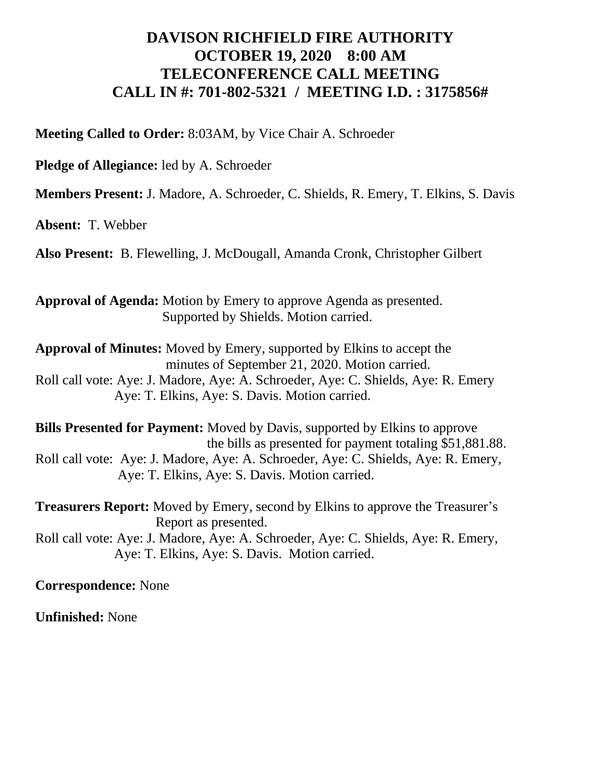## **DAVISON RICHFIELD FIRE AUTHORITY OCTOBER 19, 2020 8:00 AM TELECONFERENCE CALL MEETING CALL IN #: 701-802-5321 / MEETING I.D. : 3175856#**

**Meeting Called to Order:** 8:03AM, by Vice Chair A. Schroeder

**Pledge of Allegiance:** led by A. Schroeder

**Members Present:** J. Madore, A. Schroeder, C. Shields, R. Emery, T. Elkins, S. Davis

**Absent:** T. Webber

**Also Present:** B. Flewelling, J. McDougall, Amanda Cronk, Christopher Gilbert

**Approval of Agenda:** Motion by Emery to approve Agenda as presented. Supported by Shields. Motion carried.

**Approval of Minutes:** Moved by Emery, supported by Elkins to accept the minutes of September 21, 2020. Motion carried. Roll call vote: Aye: J. Madore, Aye: A. Schroeder, Aye: C. Shields, Aye: R. Emery Aye: T. Elkins, Aye: S. Davis. Motion carried.

**Bills Presented for Payment:** Moved by Davis, supported by Elkins to approve the bills as presented for payment totaling \$51,881.88. Roll call vote: Aye: J. Madore, Aye: A. Schroeder, Aye: C. Shields, Aye: R. Emery, Aye: T. Elkins, Aye: S. Davis. Motion carried.

**Treasurers Report:** Moved by Emery, second by Elkins to approve the Treasurer's Report as presented.

Roll call vote: Aye: J. Madore, Aye: A. Schroeder, Aye: C. Shields, Aye: R. Emery, Aye: T. Elkins, Aye: S. Davis. Motion carried.

**Correspondence:** None

**Unfinished:** None